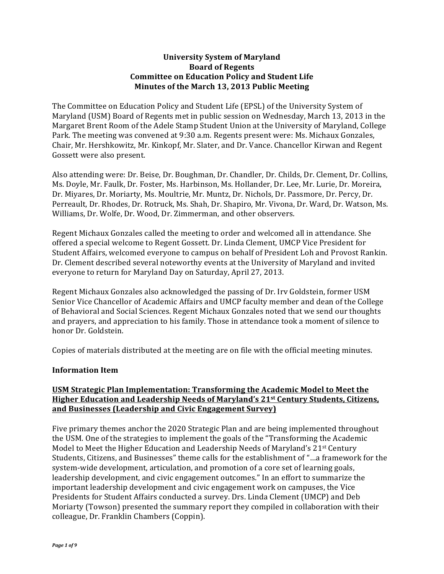# **University System of Maryland Board of Regents Committee on Education Policy and Student Life Minutes of the March 13, 2013 Public Meeting**

The Committee on Education Policy and Student Life (EPSL) of the University System of Maryland (USM) Board of Regents met in public session on Wednesday, March 13, 2013 in the Margaret Brent Room of the Adele Stamp Student Union at the University of Maryland, College Park. The meeting was convened at 9:30 a.m. Regents present were: Ms. Michaux Gonzales, Chair, Mr. Hershkowitz, Mr. Kinkopf, Mr. Slater, and Dr. Vance. Chancellor Kirwan and Regent Gossett were also present.

Also attending were: Dr. Beise, Dr. Boughman, Dr. Chandler, Dr. Childs, Dr. Clement, Dr. Collins, Ms. Doyle, Mr. Faulk, Dr. Foster, Ms. Harbinson, Ms. Hollander, Dr. Lee, Mr. Lurie, Dr. Moreira, Dr. Miyares, Dr. Moriarty, Ms. Moultrie, Mr. Muntz, Dr. Nichols, Dr. Passmore, Dr. Percy, Dr. Perreault, Dr. Rhodes, Dr. Rotruck, Ms. Shah, Dr. Shapiro, Mr. Vivona, Dr. Ward, Dr. Watson, Ms. Williams, Dr. Wolfe, Dr. Wood, Dr. Zimmerman, and other observers.

Regent Michaux Gonzales called the meeting to order and welcomed all in attendance. She offered a special welcome to Regent Gossett. Dr. Linda Clement, UMCP Vice President for Student Affairs, welcomed everyone to campus on behalf of President Loh and Provost Rankin. Dr. Clement described several noteworthy events at the University of Maryland and invited everyone to return for Maryland Day on Saturday, April 27, 2013.

Regent Michaux Gonzales also acknowledged the passing of Dr. Irv Goldstein, former USM Senior Vice Chancellor of Academic Affairs and UMCP faculty member and dean of the College of Behavioral and Social Sciences. Regent Michaux Gonzales noted that we send our thoughts and prayers, and appreciation to his family. Those in attendance took a moment of silence to honor Dr. Goldstein.

Copies of materials distributed at the meeting are on file with the official meeting minutes.

## **Information Item**

## **USM Strategic Plan Implementation: Transforming the Academic Model to Meet the Higher Education and Leadership Needs of Maryland's 21st Century Students, Citizens, and Businesses (Leadership and Civic Engagement Survey)**

Five primary themes anchor the 2020 Strategic Plan and are being implemented throughout the USM. One of the strategies to implement the goals of the "Transforming the Academic Model to Meet the Higher Education and Leadership Needs of Maryland's 21<sup>st</sup> Century Students, Citizens, and Businesses" theme calls for the establishment of "...a framework for the system-wide development, articulation, and promotion of a core set of learning goals, leadership development, and civic engagement outcomes." In an effort to summarize the important leadership development and civic engagement work on campuses, the Vice Presidents for Student Affairs conducted a survey. Drs. Linda Clement (UMCP) and Deb Moriarty (Towson) presented the summary report they compiled in collaboration with their colleague, Dr. Franklin Chambers (Coppin).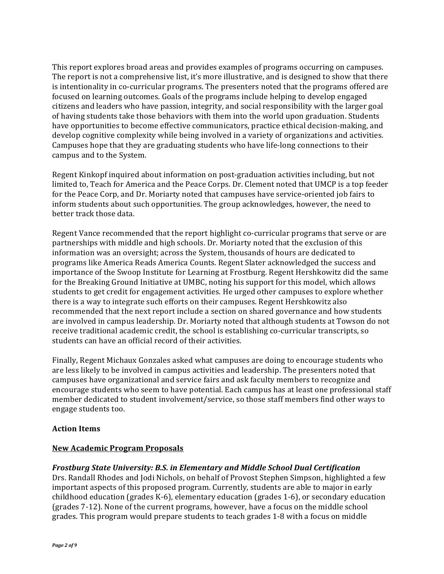This report explores broad areas and provides examples of programs occurring on campuses. The report is not a comprehensive list, it's more illustrative, and is designed to show that there is intentionality in co-curricular programs. The presenters noted that the programs offered are focused on learning outcomes. Goals of the programs include helping to develop engaged citizens and leaders who have passion, integrity, and social responsibility with the larger goal of having students take those behaviors with them into the world upon graduation. Students have opportunities to become effective communicators, practice ethical decision-making, and develop cognitive complexity while being involved in a variety of organizations and activities. Campuses hope that they are graduating students who have life-long connections to their campus and to the System.

Regent Kinkopf inquired about information on post-graduation activities including, but not limited to, Teach for America and the Peace Corps. Dr. Clement noted that UMCP is a top feeder for the Peace Corp, and Dr. Moriarty noted that campuses have service-oriented job fairs to inform students about such opportunities. The group acknowledges, however, the need to better track those data.

Regent Vance recommended that the report highlight co-curricular programs that serve or are partnerships with middle and high schools. Dr. Moriarty noted that the exclusion of this information was an oversight; across the System, thousands of hours are dedicated to programs like America Reads America Counts. Regent Slater acknowledged the success and importance of the Swoop Institute for Learning at Frostburg. Regent Hershkowitz did the same for the Breaking Ground Initiative at UMBC, noting his support for this model, which allows students to get credit for engagement activities. He urged other campuses to explore whether there is a way to integrate such efforts on their campuses. Regent Hershkowitz also recommended that the next report include a section on shared governance and how students are involved in campus leadership. Dr. Moriarty noted that although students at Towson do not receive traditional academic credit, the school is establishing co-curricular transcripts, so students can have an official record of their activities.

Finally, Regent Michaux Gonzales asked what campuses are doing to encourage students who are less likely to be involved in campus activities and leadership. The presenters noted that campuses have organizational and service fairs and ask faculty members to recognize and encourage students who seem to have potential. Each campus has at least one professional staff member dedicated to student involvement/service, so those staff members find other ways to engage students too.

## **Action Items**

## **New Academic Program Proposals**

#### *Frostburg State University: B.S. in Elementary and Middle School Dual Certification*

Drs. Randall Rhodes and Jodi Nichols, on behalf of Provost Stephen Simpson, highlighted a few important aspects of this proposed program. Currently, students are able to major in early childhood education (grades  $K-6$ ), elementary education (grades 1-6), or secondary education (grades 7-12). None of the current programs, however, have a focus on the middle school grades. This program would prepare students to teach grades 1-8 with a focus on middle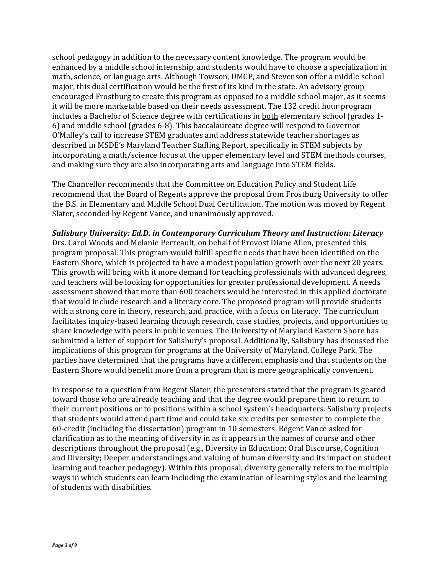school pedagogy in addition to the necessary content knowledge. The program would be enhanced by a middle school internship, and students would have to choose a specialization in math, science, or language arts. Although Towson, UMCP, and Stevenson offer a middle school major, this dual certification would be the first of its kind in the state. An advisory group encouraged Frostburg to create this program as opposed to a middle school major, as it seems it will be more marketable based on their needs assessment. The 132 credit hour program includes a Bachelor of Science degree with certifications in both elementary school (grades 1-6) and middle school (grades 6-8). This baccalaureate degree will respond to Governor O'Malley's call to increase STEM graduates and address statewide teacher shortages as described in MSDE's Maryland Teacher Staffing Report, specifically in STEM subjects by incorporating a math/science focus at the upper elementary level and STEM methods courses, and making sure they are also incorporating arts and language into STEM fields.

The Chancellor recommends that the Committee on Education Policy and Student Life recommend that the Board of Regents approve the proposal from Frostburg University to offer the B.S. in Elementary and Middle School Dual Certification. The motion was moved by Regent Slater, seconded by Regent Vance, and unanimously approved.

Salisbury University: Ed.D. in Contemporary Curriculum Theory and Instruction: Literacy Drs. Carol Woods and Melanie Perreault, on behalf of Provost Diane Allen, presented this program proposal. This program would fulfill specific needs that have been identified on the Eastern Shore, which is projected to have a modest population growth over the next 20 years. This growth will bring with it more demand for teaching professionals with advanced degrees, and teachers will be looking for opportunities for greater professional development. A needs assessment showed that more than 600 teachers would be interested in this applied doctorate that would include research and a literacy core. The proposed program will provide students with a strong core in theory, research, and practice, with a focus on literacy. The curriculum facilitates inquiry-based learning through research, case studies, projects, and opportunities to share knowledge with peers in public venues. The University of Maryland Eastern Shore has submitted a letter of support for Salisbury's proposal. Additionally, Salisbury has discussed the implications of this program for programs at the University of Maryland, College Park. The parties have determined that the programs have a different emphasis and that students on the Eastern Shore would benefit more from a program that is more geographically convenient.

In response to a question from Regent Slater, the presenters stated that the program is geared toward those who are already teaching and that the degree would prepare them to return to their current positions or to positions within a school system's headquarters. Salisbury projects that students would attend part time and could take six credits per semester to complete the  $60$ -credit (including the dissertation) program in 10 semesters. Regent Vance asked for clarification as to the meaning of diversity in as it appears in the names of course and other descriptions throughout the proposal (e.g., Diversity in Education; Oral Discourse, Cognition and Diversity; Deeper understandings and valuing of human diversity and its impact on student learning and teacher pedagogy). Within this proposal, diversity generally refers to the multiple ways in which students can learn including the examination of learning styles and the learning of students with disabilities.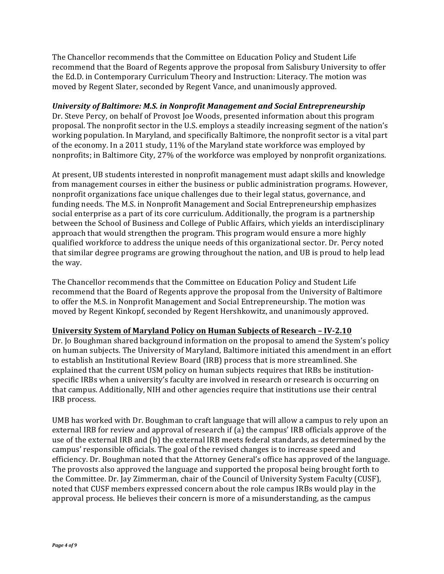The Chancellor recommends that the Committee on Education Policy and Student Life recommend that the Board of Regents approve the proposal from Salisbury University to offer the Ed.D. in Contemporary Curriculum Theory and Instruction: Literacy. The motion was moved by Regent Slater, seconded by Regent Vance, and unanimously approved.

# *University of Baltimore: M.S. in Nonprofit Management and Social Entrepreneurship*

Dr. Steve Percy, on behalf of Provost Joe Woods, presented information about this program proposal. The nonprofit sector in the U.S. employs a steadily increasing segment of the nation's working population. In Maryland, and specifically Baltimore, the nonprofit sector is a vital part of the economy. In a 2011 study,  $11\%$  of the Maryland state workforce was employed by nonprofits; in Baltimore City, 27% of the workforce was employed by nonprofit organizations.

At present, UB students interested in nonprofit management must adapt skills and knowledge from management courses in either the business or public administration programs. However, nonprofit organizations face unique challenges due to their legal status, governance, and funding needs. The M.S. in Nonprofit Management and Social Entrepreneurship emphasizes social enterprise as a part of its core curriculum. Additionally, the program is a partnership between the School of Business and College of Public Affairs, which yields an interdisciplinary approach that would strengthen the program. This program would ensure a more highly qualified workforce to address the unique needs of this organizational sector. Dr. Percy noted that similar degree programs are growing throughout the nation, and UB is proud to help lead the way.

The Chancellor recommends that the Committee on Education Policy and Student Life recommend that the Board of Regents approve the proposal from the University of Baltimore to offer the M.S. in Nonprofit Management and Social Entrepreneurship. The motion was moved by Regent Kinkopf, seconded by Regent Hershkowitz, and unanimously approved.

## **University System of Maryland Policy on Human Subjects of Research – IV-2.10**

Dr. Jo Boughman shared background information on the proposal to amend the System's policy on human subjects. The University of Maryland, Baltimore initiated this amendment in an effort to establish an Institutional Review Board (IRB) process that is more streamlined. She explained that the current USM policy on human subjects requires that IRBs be institutionspecific IRBs when a university's faculty are involved in research or research is occurring on that campus. Additionally, NIH and other agencies require that institutions use their central IRB process.

UMB has worked with Dr. Boughman to craft language that will allow a campus to rely upon an external IRB for review and approval of research if (a) the campus' IRB officials approve of the use of the external IRB and (b) the external IRB meets federal standards, as determined by the campus' responsible officials. The goal of the revised changes is to increase speed and efficiency. Dr. Boughman noted that the Attorney General's office has approved of the language. The provosts also approved the language and supported the proposal being brought forth to the Committee. Dr. Jay Zimmerman, chair of the Council of University System Faculty (CUSF), noted that CUSF members expressed concern about the role campus IRBs would play in the approval process. He believes their concern is more of a misunderstanding, as the campus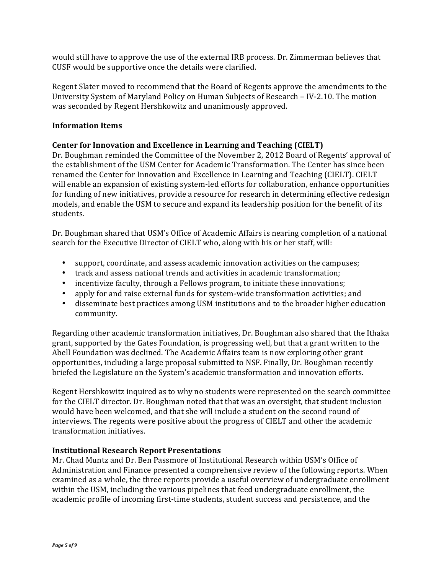would still have to approve the use of the external IRB process. Dr. Zimmerman believes that CUSF would be supportive once the details were clarified.

Regent Slater moved to recommend that the Board of Regents approve the amendments to the University System of Maryland Policy on Human Subjects of Research – IV-2.10. The motion was seconded by Regent Hershkowitz and unanimously approved.

# **Information Items**

# **Center for Innovation and Excellence in Learning and Teaching (CIELT)**

Dr. Boughman reminded the Committee of the November 2, 2012 Board of Regents' approval of the establishment of the USM Center for Academic Transformation. The Center has since been renamed the Center for Innovation and Excellence in Learning and Teaching (CIELT). CIELT will enable an expansion of existing system-led efforts for collaboration, enhance opportunities for funding of new initiatives, provide a resource for research in determining effective redesign models, and enable the USM to secure and expand its leadership position for the benefit of its students.

Dr. Boughman shared that USM's Office of Academic Affairs is nearing completion of a national search for the Executive Director of CIELT who, along with his or her staff, will:

- support, coordinate, and assess academic innovation activities on the campuses;
- track and assess national trends and activities in academic transformation;
- incentivize faculty, through a Fellows program, to initiate these innovations;
- apply for and raise external funds for system-wide transformation activities; and
- disseminate best practices among USM institutions and to the broader higher education community.

Regarding other academic transformation initiatives, Dr. Boughman also shared that the Ithaka grant, supported by the Gates Foundation, is progressing well, but that a grant written to the Abell Foundation was declined. The Academic Affairs team is now exploring other grant opportunities, including a large proposal submitted to NSF. Finally, Dr. Boughman recently briefed the Legislature on the System's academic transformation and innovation efforts.

Regent Hershkowitz inquired as to why no students were represented on the search committee for the CIELT director. Dr. Boughman noted that that was an oversight, that student inclusion would have been welcomed, and that she will include a student on the second round of interviews. The regents were positive about the progress of CIELT and other the academic transformation initiatives.

## **Institutional Research Report Presentations**

Mr. Chad Muntz and Dr. Ben Passmore of Institutional Research within USM's Office of Administration and Finance presented a comprehensive review of the following reports. When examined as a whole, the three reports provide a useful overview of undergraduate enrollment within the USM, including the various pipelines that feed undergraduate enrollment, the academic profile of incoming first-time students, student success and persistence, and the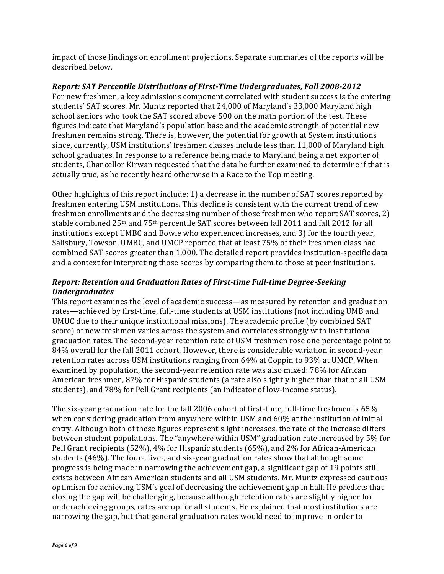impact of those findings on enrollment projections. Separate summaries of the reports will be described below.

## *Report:* SAT Percentile Distributions of First-Time Undergraduates, Fall 2008-2012

For new freshmen, a key admissions component correlated with student success is the entering students' SAT scores. Mr. Muntz reported that 24,000 of Maryland's 33,000 Maryland high school seniors who took the SAT scored above 500 on the math portion of the test. These figures indicate that Maryland's population base and the academic strength of potential new freshmen remains strong. There is, however, the potential for growth at System institutions since, currently, USM institutions' freshmen classes include less than 11,000 of Maryland high school graduates. In response to a reference being made to Maryland being a net exporter of students, Chancellor Kirwan requested that the data be further examined to determine if that is actually true, as he recently heard otherwise in a Race to the Top meeting.

Other highlights of this report include: 1) a decrease in the number of SAT scores reported by freshmen entering USM institutions. This decline is consistent with the current trend of new freshmen enrollments and the decreasing number of those freshmen who report SAT scores, 2) stable combined 25<sup>th</sup> and 75<sup>th</sup> percentile SAT scores between fall 2011 and fall 2012 for all institutions except UMBC and Bowie who experienced increases, and 3) for the fourth year, Salisbury, Towson, UMBC, and UMCP reported that at least 75% of their freshmen class had combined SAT scores greater than 1,000. The detailed report provides institution-specific data and a context for interpreting those scores by comparing them to those at peer institutions.

# **Report: Retention and Graduation Rates of First-time Full-time Degree-Seeking** *Undergraduates*

This report examines the level of academic success—as measured by retention and graduation rates—achieved by first-time, full-time students at USM institutions (not including UMB and UMUC due to their unique institutional missions). The academic profile (by combined SAT score) of new freshmen varies across the system and correlates strongly with institutional graduation rates. The second-year retention rate of USM freshmen rose one percentage point to 84% overall for the fall 2011 cohort. However, there is considerable variation in second-year retention rates across USM institutions ranging from 64% at Coppin to 93% at UMCP. When examined by population, the second-year retention rate was also mixed: 78% for African American freshmen, 87% for Hispanic students (a rate also slightly higher than that of all USM students), and 78% for Pell Grant recipients (an indicator of low-income status).

The six-year graduation rate for the fall 2006 cohort of first-time, full-time freshmen is  $65\%$ when considering graduation from anywhere within USM and 60% at the institution of initial entry. Although both of these figures represent slight increases, the rate of the increase differs between student populations. The "anywhere within USM" graduation rate increased by 5% for Pell Grant recipients (52%), 4% for Hispanic students (65%), and 2% for African-American students  $(46%)$ . The four-, five-, and six-year graduation rates show that although some progress is being made in narrowing the achievement gap, a significant gap of 19 points still exists between African American students and all USM students. Mr. Muntz expressed cautious optimism for achieving USM's goal of decreasing the achievement gap in half. He predicts that closing the gap will be challenging, because although retention rates are slightly higher for underachieving groups, rates are up for all students. He explained that most institutions are narrowing the gap, but that general graduation rates would need to improve in order to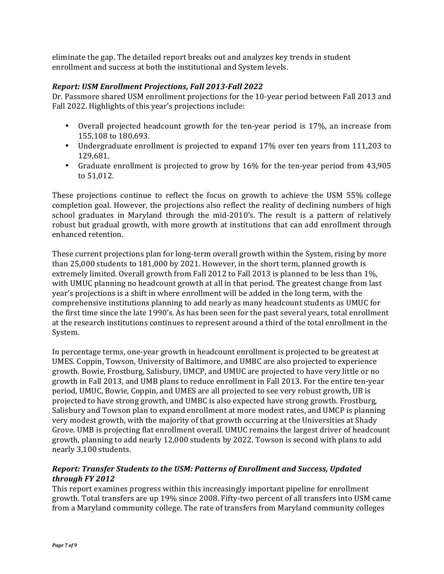eliminate the gap. The detailed report breaks out and analyzes key trends in student enrollment and success at both the institutional and System levels.

# *Report: USM Enrollment Projections, Fall 2013-Fall 2022*

Dr. Passmore shared USM enrollment projections for the 10-year period between Fall 2013 and Fall 2022. Highlights of this year's projections include:

- Overall projected headcount growth for the ten-year period is 17%, an increase from 155,108 to 180,693.
- Undergraduate enrollment is projected to expand 17% over ten years from 111,203 to 129,681.
- Graduate enrollment is projected to grow by 16% for the ten-year period from 43,905 to 51,012.

These projections continue to reflect the focus on growth to achieve the USM 55% college completion goal. However, the projections also reflect the reality of declining numbers of high school graduates in Maryland through the mid-2010's. The result is a pattern of relatively robust but gradual growth, with more growth at institutions that can add enrollment through enhanced retention. 

These current projections plan for long-term overall growth within the System, rising by more than  $25,000$  students to  $181,000$  by  $2021$ . However, in the short term, planned growth is extremely limited. Overall growth from Fall 2012 to Fall 2013 is planned to be less than  $1\%$ . with UMUC planning no headcount growth at all in that period. The greatest change from last year's projections is a shift in where enrollment will be added in the long term, with the comprehensive institutions planning to add nearly as many headcount students as UMUC for the first time since the late 1990's. As has been seen for the past several years, total enrollment at the research institutions continues to represent around a third of the total enrollment in the System.

In percentage terms, one-year growth in headcount enrollment is projected to be greatest at UMES. Coppin, Towson, University of Baltimore, and UMBC are also projected to experience growth. Bowie, Frostburg, Salisbury, UMCP, and UMUC are projected to have very little or no growth in Fall 2013, and UMB plans to reduce enrollment in Fall 2013. For the entire ten-year period, UMUC, Bowie, Coppin, and UMES are all projected to see very robust growth, UB is projected to have strong growth, and UMBC is also expected have strong growth. Frostburg, Salisbury and Towson plan to expand enrollment at more modest rates, and UMCP is planning very modest growth, with the majority of that growth occurring at the Universities at Shady Grove. UMB is projecting flat enrollment overall. UMUC remains the largest driver of headcount growth, planning to add nearly 12,000 students by 2022. Towson is second with plans to add nearly 3,100 students. 

# *Report: Transfer Students to the USM: Patterns of Enrollment and Success, Updated through FY 2012*

This report examines progress within this increasingly important pipeline for enrollment growth. Total transfers are up 19% since 2008. Fifty-two percent of all transfers into USM came from a Maryland community college. The rate of transfers from Maryland community colleges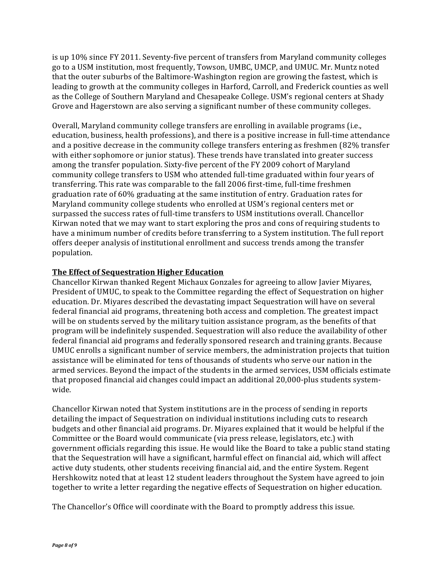is up  $10\%$  since FY 2011. Seventy-five percent of transfers from Maryland community colleges go to a USM institution, most frequently, Towson, UMBC, UMCP, and UMUC. Mr. Muntz noted that the outer suburbs of the Baltimore-Washington region are growing the fastest, which is leading to growth at the community colleges in Harford, Carroll, and Frederick counties as well as the College of Southern Maryland and Chesapeake College. USM's regional centers at Shady Grove and Hagerstown are also serving a significant number of these community colleges.

Overall, Maryland community college transfers are enrolling in available programs (i.e., education, business, health professions), and there is a positive increase in full-time attendance and a positive decrease in the community college transfers entering as freshmen  $(82\%$  transfer with either sophomore or junior status). These trends have translated into greater success among the transfer population. Sixty-five percent of the FY 2009 cohort of Maryland community college transfers to USM who attended full-time graduated within four years of transferring. This rate was comparable to the fall 2006 first-time, full-time freshmen graduation rate of  $60\%$  graduating at the same institution of entry. Graduation rates for Maryland community college students who enrolled at USM's regional centers met or surpassed the success rates of full-time transfers to USM institutions overall. Chancellor Kirwan noted that we may want to start exploring the pros and cons of requiring students to have a minimum number of credits before transferring to a System institution. The full report offers deeper analysis of institutional enrollment and success trends among the transfer population.

## **The Effect of Sequestration Higher Education**

Chancellor Kirwan thanked Regent Michaux Gonzales for agreeing to allow Javier Miyares, President of UMUC, to speak to the Committee regarding the effect of Sequestration on higher education. Dr. Miyares described the devastating impact Sequestration will have on several federal financial aid programs, threatening both access and completion. The greatest impact will be on students served by the military tuition assistance program, as the benefits of that program will be indefinitely suspended. Sequestration will also reduce the availability of other federal financial aid programs and federally sponsored research and training grants. Because UMUC enrolls a significant number of service members, the administration projects that tuition assistance will be eliminated for tens of thousands of students who serve our nation in the armed services. Beyond the impact of the students in the armed services, USM officials estimate that proposed financial aid changes could impact an additional 20,000-plus students systemwide. 

Chancellor Kirwan noted that System institutions are in the process of sending in reports detailing the impact of Sequestration on individual institutions including cuts to research budgets and other financial aid programs. Dr. Miyares explained that it would be helpful if the Committee or the Board would communicate (via press release, legislators, etc.) with government officials regarding this issue. He would like the Board to take a public stand stating that the Sequestration will have a significant, harmful effect on financial aid, which will affect active duty students, other students receiving financial aid, and the entire System. Regent Hershkowitz noted that at least 12 student leaders throughout the System have agreed to join together to write a letter regarding the negative effects of Sequestration on higher education.

The Chancellor's Office will coordinate with the Board to promptly address this issue.